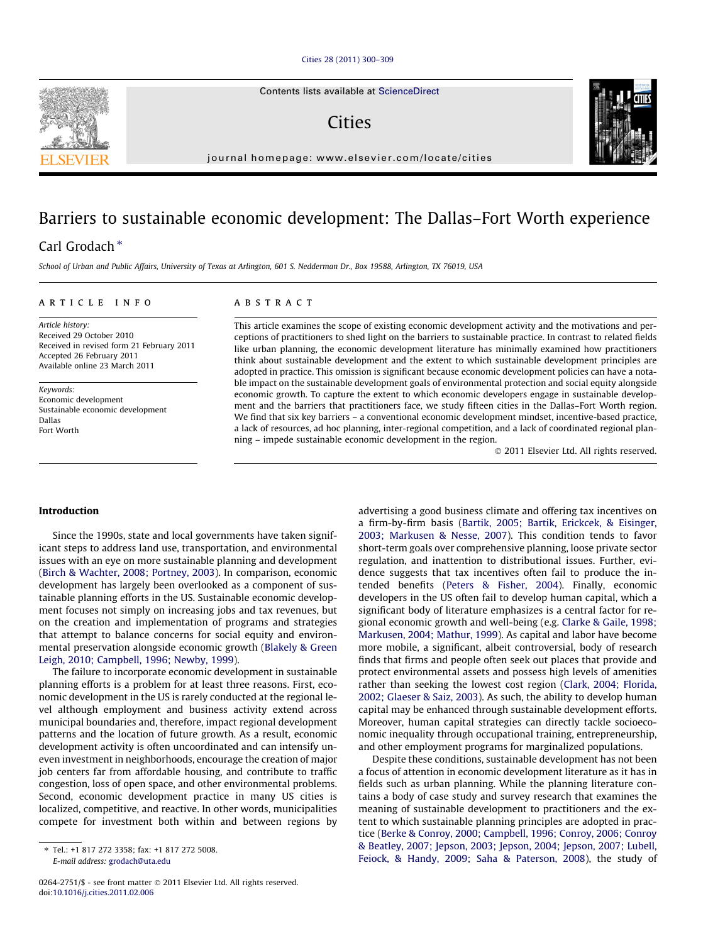#### [Cities 28 \(2011\) 300–309](http://dx.doi.org/10.1016/j.cities.2011.02.006)

Contents lists available at [ScienceDirect](http://www.sciencedirect.com/science/journal/02642751)

## Cities

journal homepage: [www.elsevier.com/locate/cities](http://www.elsevier.com/locate/cities)

## Barriers to sustainable economic development: The Dallas–Fort Worth experience

### Carl Grodach<sup>\*</sup>

School of Urban and Public Affairs, University of Texas at Arlington, 601 S. Nedderman Dr., Box 19588, Arlington, TX 76019, USA

#### article info

Article history: Received 29 October 2010 Received in revised form 21 February 2011 Accepted 26 February 2011 Available online 23 March 2011

Keywords: Economic development Sustainable economic development Dallas Fort Worth

#### **ABSTRACT**

This article examines the scope of existing economic development activity and the motivations and perceptions of practitioners to shed light on the barriers to sustainable practice. In contrast to related fields like urban planning, the economic development literature has minimally examined how practitioners think about sustainable development and the extent to which sustainable development principles are adopted in practice. This omission is significant because economic development policies can have a notable impact on the sustainable development goals of environmental protection and social equity alongside economic growth. To capture the extent to which economic developers engage in sustainable development and the barriers that practitioners face, we study fifteen cities in the Dallas–Fort Worth region. We find that six key barriers – a conventional economic development mindset, incentive-based practice, a lack of resources, ad hoc planning, inter-regional competition, and a lack of coordinated regional planning – impede sustainable economic development in the region.

- 2011 Elsevier Ltd. All rights reserved.

#### Introduction

Since the 1990s, state and local governments have taken significant steps to address land use, transportation, and environmental issues with an eye on more sustainable planning and development ([Birch & Wachter, 2008; Portney, 2003\)](#page--1-0). In comparison, economic development has largely been overlooked as a component of sustainable planning efforts in the US. Sustainable economic development focuses not simply on increasing jobs and tax revenues, but on the creation and implementation of programs and strategies that attempt to balance concerns for social equity and environmental preservation alongside economic growth ([Blakely & Green](#page--1-0) [Leigh, 2010; Campbell, 1996; Newby, 1999\)](#page--1-0).

The failure to incorporate economic development in sustainable planning efforts is a problem for at least three reasons. First, economic development in the US is rarely conducted at the regional level although employment and business activity extend across municipal boundaries and, therefore, impact regional development patterns and the location of future growth. As a result, economic development activity is often uncoordinated and can intensify uneven investment in neighborhoods, encourage the creation of major job centers far from affordable housing, and contribute to traffic congestion, loss of open space, and other environmental problems. Second, economic development practice in many US cities is localized, competitive, and reactive. In other words, municipalities compete for investment both within and between regions by advertising a good business climate and offering tax incentives on a firm-by-firm basis ([Bartik, 2005; Bartik, Erickcek, & Eisinger,](#page--1-0) [2003; Markusen & Nesse, 2007\)](#page--1-0). This condition tends to favor short-term goals over comprehensive planning, loose private sector regulation, and inattention to distributional issues. Further, evidence suggests that tax incentives often fail to produce the intended benefits ([Peters & Fisher, 2004\)](#page--1-0). Finally, economic developers in the US often fail to develop human capital, which a significant body of literature emphasizes is a central factor for regional economic growth and well-being (e.g. [Clarke & Gaile, 1998;](#page--1-0) [Markusen, 2004; Mathur, 1999\)](#page--1-0). As capital and labor have become more mobile, a significant, albeit controversial, body of research finds that firms and people often seek out places that provide and protect environmental assets and possess high levels of amenities rather than seeking the lowest cost region ([Clark, 2004; Florida,](#page--1-0) [2002; Glaeser & Saiz, 2003\)](#page--1-0). As such, the ability to develop human capital may be enhanced through sustainable development efforts. Moreover, human capital strategies can directly tackle socioeconomic inequality through occupational training, entrepreneurship, and other employment programs for marginalized populations.

Despite these conditions, sustainable development has not been a focus of attention in economic development literature as it has in fields such as urban planning. While the planning literature contains a body of case study and survey research that examines the meaning of sustainable development to practitioners and the extent to which sustainable planning principles are adopted in practice ([Berke & Conroy, 2000; Campbell, 1996; Conroy, 2006; Conroy](#page--1-0) [& Beatley, 2007; Jepson, 2003; Jepson, 2004; Jepson, 2007; Lubell,](#page--1-0) [Feiock, & Handy, 2009; Saha & Paterson, 2008\)](#page--1-0), the study of





<sup>⇑</sup> Tel.: +1 817 272 3358; fax: +1 817 272 5008. E-mail address: [grodach@uta.edu](mailto:grodach@uta.edu)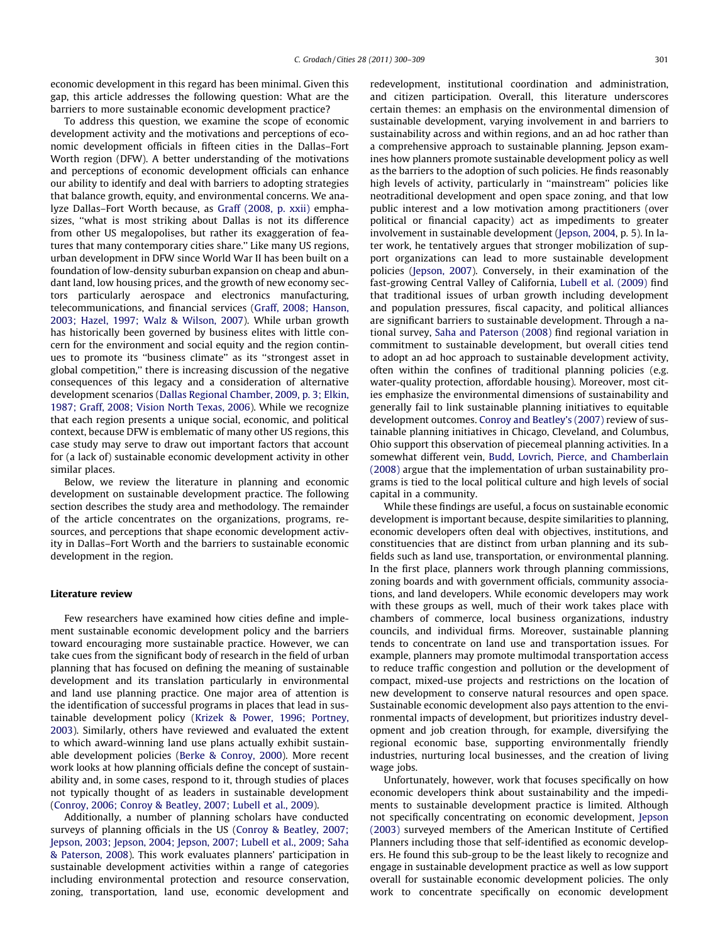economic development in this regard has been minimal. Given this gap, this article addresses the following question: What are the barriers to more sustainable economic development practice?

To address this question, we examine the scope of economic development activity and the motivations and perceptions of economic development officials in fifteen cities in the Dallas–Fort Worth region (DFW). A better understanding of the motivations and perceptions of economic development officials can enhance our ability to identify and deal with barriers to adopting strategies that balance growth, equity, and environmental concerns. We analyze Dallas–Fort Worth because, as [Graff \(2008, p. xxii\)](#page--1-0) emphasizes, ''what is most striking about Dallas is not its difference from other US megalopolises, but rather its exaggeration of features that many contemporary cities share.'' Like many US regions, urban development in DFW since World War II has been built on a foundation of low-density suburban expansion on cheap and abundant land, low housing prices, and the growth of new economy sectors particularly aerospace and electronics manufacturing, telecommunications, and financial services [\(Graff, 2008; Hanson,](#page--1-0) [2003; Hazel, 1997; Walz & Wilson, 2007\)](#page--1-0). While urban growth has historically been governed by business elites with little concern for the environment and social equity and the region continues to promote its ''business climate'' as its ''strongest asset in global competition,'' there is increasing discussion of the negative consequences of this legacy and a consideration of alternative development scenarios [\(Dallas Regional Chamber, 2009, p. 3; Elkin,](#page--1-0) [1987; Graff, 2008; Vision North Texas, 2006\)](#page--1-0). While we recognize that each region presents a unique social, economic, and political context, because DFW is emblematic of many other US regions, this case study may serve to draw out important factors that account for (a lack of) sustainable economic development activity in other similar places.

Below, we review the literature in planning and economic development on sustainable development practice. The following section describes the study area and methodology. The remainder of the article concentrates on the organizations, programs, resources, and perceptions that shape economic development activity in Dallas–Fort Worth and the barriers to sustainable economic development in the region.

#### Literature review

Few researchers have examined how cities define and implement sustainable economic development policy and the barriers toward encouraging more sustainable practice. However, we can take cues from the significant body of research in the field of urban planning that has focused on defining the meaning of sustainable development and its translation particularly in environmental and land use planning practice. One major area of attention is the identification of successful programs in places that lead in sustainable development policy [\(Krizek & Power, 1996; Portney,](#page--1-0) [2003](#page--1-0)). Similarly, others have reviewed and evaluated the extent to which award-winning land use plans actually exhibit sustainable development policies [\(Berke & Conroy, 2000](#page--1-0)). More recent work looks at how planning officials define the concept of sustainability and, in some cases, respond to it, through studies of places not typically thought of as leaders in sustainable development ([Conroy, 2006; Conroy & Beatley, 2007; Lubell et al., 2009\)](#page--1-0).

Additionally, a number of planning scholars have conducted surveys of planning officials in the US ([Conroy & Beatley, 2007;](#page--1-0) [Jepson, 2003; Jepson, 2004; Jepson, 2007; Lubell et al., 2009; Saha](#page--1-0) [& Paterson, 2008](#page--1-0)). This work evaluates planners' participation in sustainable development activities within a range of categories including environmental protection and resource conservation, zoning, transportation, land use, economic development and redevelopment, institutional coordination and administration, and citizen participation. Overall, this literature underscores certain themes: an emphasis on the environmental dimension of sustainable development, varying involvement in and barriers to sustainability across and within regions, and an ad hoc rather than a comprehensive approach to sustainable planning. Jepson examines how planners promote sustainable development policy as well as the barriers to the adoption of such policies. He finds reasonably high levels of activity, particularly in ''mainstream'' policies like neotraditional development and open space zoning, and that low public interest and a low motivation among practitioners (over political or financial capacity) act as impediments to greater involvement in sustainable development [\(Jepson, 2004](#page--1-0), p. 5). In later work, he tentatively argues that stronger mobilization of support organizations can lead to more sustainable development policies [\(Jepson, 2007](#page--1-0)). Conversely, in their examination of the fast-growing Central Valley of California, [Lubell et al. \(2009\)](#page--1-0) find that traditional issues of urban growth including development and population pressures, fiscal capacity, and political alliances are significant barriers to sustainable development. Through a national survey, [Saha and Paterson \(2008\)](#page--1-0) find regional variation in commitment to sustainable development, but overall cities tend to adopt an ad hoc approach to sustainable development activity, often within the confines of traditional planning policies (e.g. water-quality protection, affordable housing). Moreover, most cities emphasize the environmental dimensions of sustainability and generally fail to link sustainable planning initiatives to equitable development outcomes. [Conroy and Beatley's \(2007\)](#page--1-0) review of sustainable planning initiatives in Chicago, Cleveland, and Columbus, Ohio support this observation of piecemeal planning activities. In a somewhat different vein, [Budd, Lovrich, Pierce, and Chamberlain](#page--1-0) [\(2008\)](#page--1-0) argue that the implementation of urban sustainability programs is tied to the local political culture and high levels of social capital in a community.

While these findings are useful, a focus on sustainable economic development is important because, despite similarities to planning, economic developers often deal with objectives, institutions, and constituencies that are distinct from urban planning and its subfields such as land use, transportation, or environmental planning. In the first place, planners work through planning commissions, zoning boards and with government officials, community associations, and land developers. While economic developers may work with these groups as well, much of their work takes place with chambers of commerce, local business organizations, industry councils, and individual firms. Moreover, sustainable planning tends to concentrate on land use and transportation issues. For example, planners may promote multimodal transportation access to reduce traffic congestion and pollution or the development of compact, mixed-use projects and restrictions on the location of new development to conserve natural resources and open space. Sustainable economic development also pays attention to the environmental impacts of development, but prioritizes industry development and job creation through, for example, diversifying the regional economic base, supporting environmentally friendly industries, nurturing local businesses, and the creation of living wage jobs.

Unfortunately, however, work that focuses specifically on how economic developers think about sustainability and the impediments to sustainable development practice is limited. Although not specifically concentrating on economic development, [Jepson](#page--1-0) [\(2003\)](#page--1-0) surveyed members of the American Institute of Certified Planners including those that self-identified as economic developers. He found this sub-group to be the least likely to recognize and engage in sustainable development practice as well as low support overall for sustainable economic development policies. The only work to concentrate specifically on economic development